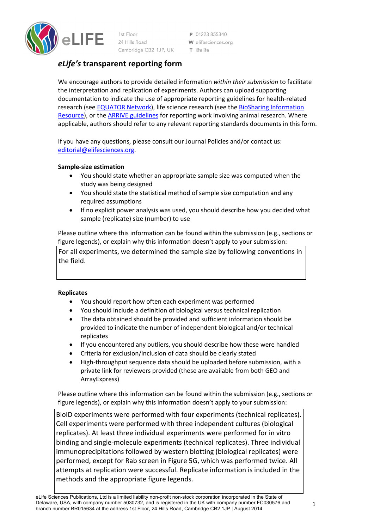

1st Floor 24 Hills Road Cambridge CB2 1JP, UK

P 01223 855340 W elifesciences.org T @elife

# *eLife's* **transparent reporting form**

We encourage authors to provide detailed information *within their submission* to facilitate the interpretation and replication of experiments. Authors can upload supporting documentation to indicate the use of appropriate reporting guidelines for health-related research (see EQUATOR Network), life science research (see the BioSharing Information Resource), or the ARRIVE guidelines for reporting work involving animal research. Where applicable, authors should refer to any relevant reporting standards documents in this form.

If you have any questions, please consult our Journal Policies and/or contact us: editorial@elifesciences.org.

# **Sample-size estimation**

- You should state whether an appropriate sample size was computed when the study was being designed
- You should state the statistical method of sample size computation and any required assumptions
- If no explicit power analysis was used, you should describe how you decided what sample (replicate) size (number) to use

Please outline where this information can be found within the submission (e.g., sections or figure legends), or explain why this information doesn't apply to your submission:

For all experiments, we determined the sample size by following conventions in the field.

# **Replicates**

- You should report how often each experiment was performed
- You should include a definition of biological versus technical replication
- The data obtained should be provided and sufficient information should be provided to indicate the number of independent biological and/or technical replicates
- If you encountered any outliers, you should describe how these were handled
- Criteria for exclusion/inclusion of data should be clearly stated
- High-throughput sequence data should be uploaded before submission, with a private link for reviewers provided (these are available from both GEO and ArrayExpress)

Please outline where this information can be found within the submission (e.g., sections or figure legends), or explain why this information doesn't apply to your submission:

BioID experiments were performed with four experiments (technical replicates). Cell experiments were performed with three independent cultures (biological replicates). At least three individual experiments were performed for in vitro binding and single-molecule experiments (technical replicates). Three individual immunoprecipitations followed by western blotting (biological replicates) were performed, except for Rab screen in Figure 5G, which was performed twice. All attempts at replication were successful. Replicate information is included in the methods and the appropriate figure legends.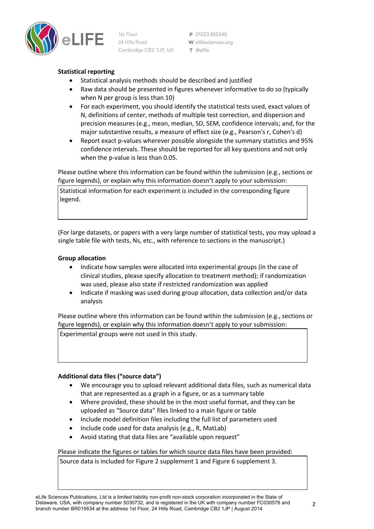

1st Floor 24 Hills Road Cambridge CB2 1JP, UK

P 01223 855340 W elifesciences.org T @elife

## **Statistical reporting**

- Statistical analysis methods should be described and justified
- Raw data should be presented in figures whenever informative to do so (typically when N per group is less than 10)
- For each experiment, you should identify the statistical tests used, exact values of N, definitions of center, methods of multiple test correction, and dispersion and precision measures (e.g., mean, median, SD, SEM, confidence intervals; and, for the major substantive results, a measure of effect size (e.g., Pearson's r, Cohen's d)
- Report exact p-values wherever possible alongside the summary statistics and 95% confidence intervals. These should be reported for all key questions and not only when the p-value is less than 0.05.

Please outline where this information can be found within the submission (e.g., sections or figure legends), or explain why this information doesn't apply to your submission:

Statistical information for each experiment is included in the corresponding figure legend.

(For large datasets, or papers with a very large number of statistical tests, you may upload a single table file with tests, Ns, etc., with reference to sections in the manuscript.)

### **Group allocation**

- Indicate how samples were allocated into experimental groups (in the case of clinical studies, please specify allocation to treatment method); if randomization was used, please also state if restricted randomization was applied
- Indicate if masking was used during group allocation, data collection and/or data analysis

Please outline where this information can be found within the submission (e.g., sections or figure legends), or explain why this information doesn't apply to your submission:

Experimental groups were not used in this study.

# **Additional data files ("source data")**

- We encourage you to upload relevant additional data files, such as numerical data that are represented as a graph in a figure, or as a summary table
- Where provided, these should be in the most useful format, and they can be uploaded as "Source data" files linked to a main figure or table
- Include model definition files including the full list of parameters used
- Include code used for data analysis (e.g., R, MatLab)
- Avoid stating that data files are "available upon request"

### Please indicate the figures or tables for which source data files have been provided:

Source data is included for Figure 2 supplement 1 and Figure 6 supplement 3.